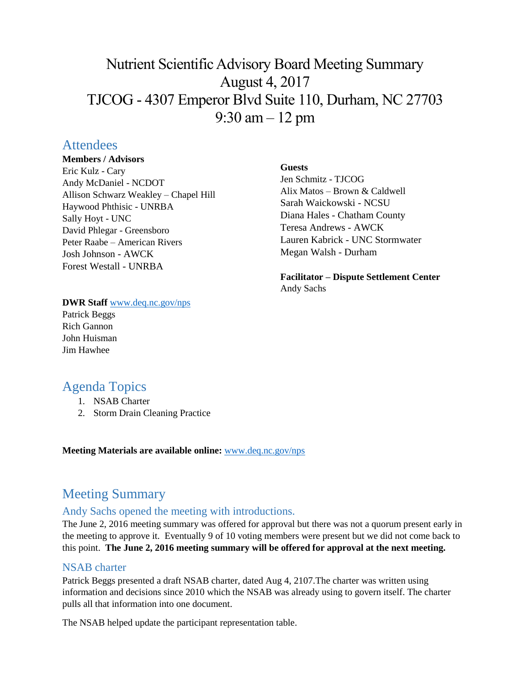# Nutrient Scientific Advisory Board Meeting Summary August 4, 2017 TJCOG - 4307 Emperor Blvd Suite 110, Durham, NC 27703 9:30 am – 12 pm

# **Attendees**

#### **Members / Advisors**

Eric Kulz - Cary Andy McDaniel - NCDOT Allison Schwarz Weakley – Chapel Hill Haywood Phthisic - UNRBA Sally Hoyt - UNC David Phlegar - Greensboro Peter Raabe – American Rivers Josh Johnson - AWCK Forest Westall - UNRBA

#### **Guests**

Jen Schmitz - TJCOG Alix Matos – Brown & Caldwell Sarah Waickowski - NCSU Diana Hales - Chatham County Teresa Andrews - AWCK Lauren Kabrick - UNC Stormwater Megan Walsh - Durham

**Facilitator – Dispute Settlement Center** Andy Sachs

#### **DWR Staff** [www.deq.nc.gov/nps](http://www.deq.nc.gov/nps)

Patrick Beggs Rich Gannon John Huisman Jim Hawhee

# Agenda Topics

- 1. NSAB Charter
- 2. Storm Drain Cleaning Practice

**Meeting Materials are available online:** [www.deq.nc.gov/nps](https://deq.nc.gov/about/divisions/water-resources/planning/nonpoint-source-management/nutrient-scientific-advisory-board/meeting-documents)

# Meeting Summary

### Andy Sachs opened the meeting with introductions.

The June 2, 2016 meeting summary was offered for approval but there was not a quorum present early in the meeting to approve it. Eventually 9 of 10 voting members were present but we did not come back to this point. **The June 2, 2016 meeting summary will be offered for approval at the next meeting.**

### NSAB charter

Patrick Beggs presented a draft NSAB charter, dated Aug 4, 2107.The charter was written using information and decisions since 2010 which the NSAB was already using to govern itself. The charter pulls all that information into one document.

The NSAB helped update the participant representation table.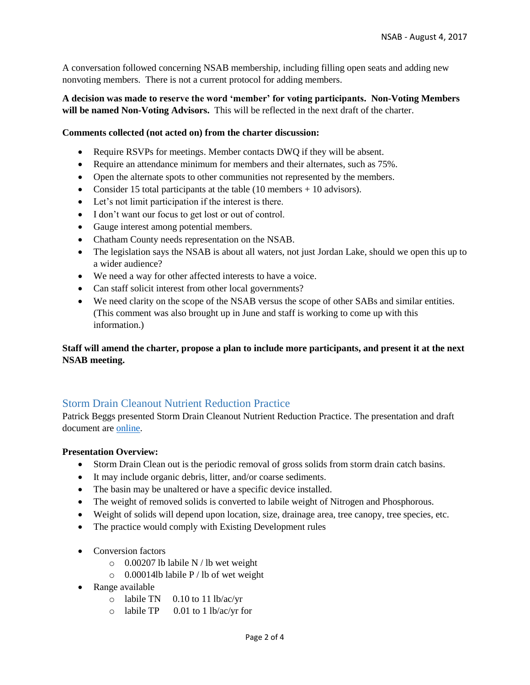A conversation followed concerning NSAB membership, including filling open seats and adding new nonvoting members. There is not a current protocol for adding members.

#### **A decision was made to reserve the word 'member' for voting participants. Non-Voting Members will be named Non-Voting Advisors.** This will be reflected in the next draft of the charter.

#### **Comments collected (not acted on) from the charter discussion:**

- Require RSVPs for meetings. Member contacts DWQ if they will be absent.
- Require an attendance minimum for members and their alternates, such as  $75\%$ .
- Open the alternate spots to other communities not represented by the members.
- Consider 15 total participants at the table (10 members + 10 advisors).
- Let's not limit participation if the interest is there.
- I don't want our focus to get lost or out of control.
- Gauge interest among potential members.
- Chatham County needs representation on the NSAB.
- The legislation says the NSAB is about all waters, not just Jordan Lake, should we open this up to a wider audience?
- We need a way for other affected interests to have a voice.
- Can staff solicit interest from other local governments?
- We need clarity on the scope of the NSAB versus the scope of other SABs and similar entities. (This comment was also brought up in June and staff is working to come up with this information.)

#### **Staff will amend the charter, propose a plan to include more participants, and present it at the next NSAB meeting.**

#### Storm Drain Cleanout Nutrient Reduction Practice

Patrick Beggs presented Storm Drain Cleanout Nutrient Reduction Practice. The presentation and draft document are [online.](https://deq.nc.gov/about/divisions/water-resources/planning/nonpoint-source-management/nutrient-scientific-advisory-board/meeting-documents)

#### **Presentation Overview:**

- Storm Drain Clean out is the periodic removal of gross solids from storm drain catch basins.
- It may include organic debris, litter, and/or coarse sediments.
- The basin may be unaltered or have a specific device installed.
- The weight of removed solids is converted to labile weight of Nitrogen and Phosphorous.
- Weight of solids will depend upon location, size, drainage area, tree canopy, tree species, etc.
- The practice would comply with Existing Development rules
- Conversion factors
	- $\circ$  0.00207 lb labile N / lb wet weight
	- o 0.00014lb labile P / lb of wet weight
- Range available
	- o labile TN 0.10 to 11 lb/ac/yr
	- o labile TP 0.01 to 1 lb/ac/yr for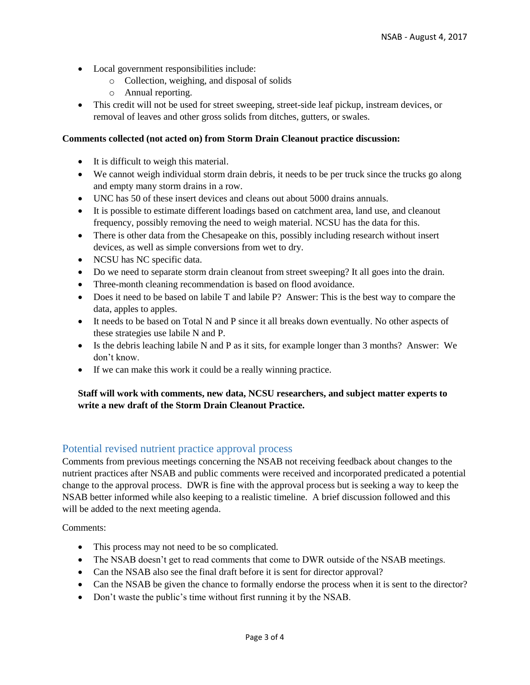- Local government responsibilities include:
	- o Collection, weighing, and disposal of solids
	- o Annual reporting.
- This credit will not be used for street sweeping, street-side leaf pickup, instream devices, or removal of leaves and other gross solids from ditches, gutters, or swales.

#### **Comments collected (not acted on) from Storm Drain Cleanout practice discussion:**

- It is difficult to weigh this material.
- We cannot weigh individual storm drain debris, it needs to be per truck since the trucks go along and empty many storm drains in a row.
- UNC has 50 of these insert devices and cleans out about 5000 drains annuals.
- It is possible to estimate different loadings based on catchment area, land use, and cleanout frequency, possibly removing the need to weigh material. NCSU has the data for this.
- There is other data from the Chesapeake on this, possibly including research without insert devices, as well as simple conversions from wet to dry.
- NCSU has NC specific data.
- Do we need to separate storm drain cleanout from street sweeping? It all goes into the drain.
- Three-month cleaning recommendation is based on flood avoidance.
- Does it need to be based on labile T and labile P? Answer: This is the best way to compare the data, apples to apples.
- It needs to be based on Total N and P since it all breaks down eventually. No other aspects of these strategies use labile N and P.
- Is the debris leaching labile N and P as it sits, for example longer than 3 months? Answer: We don't know.
- If we can make this work it could be a really winning practice.

#### **Staff will work with comments, new data, NCSU researchers, and subject matter experts to write a new draft of the Storm Drain Cleanout Practice.**

#### Potential revised nutrient practice approval process

Comments from previous meetings concerning the NSAB not receiving feedback about changes to the nutrient practices after NSAB and public comments were received and incorporated predicated a potential change to the approval process. DWR is fine with the approval process but is seeking a way to keep the NSAB better informed while also keeping to a realistic timeline. A brief discussion followed and this will be added to the next meeting agenda.

Comments:

- This process may not need to be so complicated.
- The NSAB doesn't get to read comments that come to DWR outside of the NSAB meetings.
- Can the NSAB also see the final draft before it is sent for director approval?
- Can the NSAB be given the chance to formally endorse the process when it is sent to the director?
- Don't waste the public's time without first running it by the NSAB.